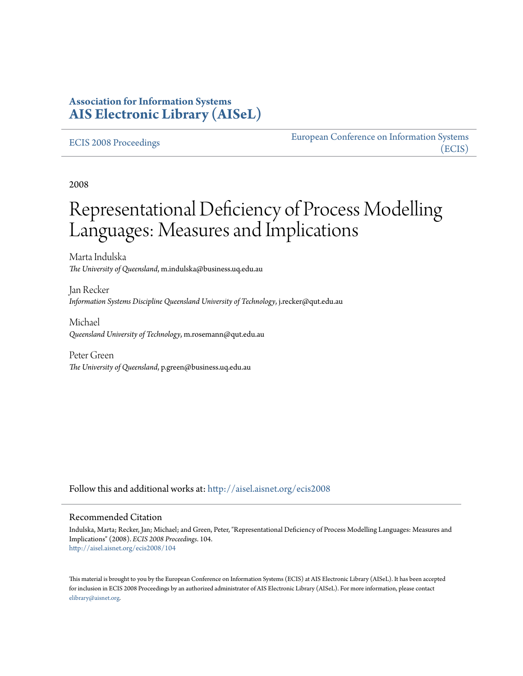# **Association for Information Systems [AIS Electronic Library \(AISeL\)](http://aisel.aisnet.org?utm_source=aisel.aisnet.org%2Fecis2008%2F104&utm_medium=PDF&utm_campaign=PDFCoverPages)**

#### [ECIS 2008 Proceedings](http://aisel.aisnet.org/ecis2008?utm_source=aisel.aisnet.org%2Fecis2008%2F104&utm_medium=PDF&utm_campaign=PDFCoverPages)

[European Conference on Information Systems](http://aisel.aisnet.org/ecis?utm_source=aisel.aisnet.org%2Fecis2008%2F104&utm_medium=PDF&utm_campaign=PDFCoverPages) [\(ECIS\)](http://aisel.aisnet.org/ecis?utm_source=aisel.aisnet.org%2Fecis2008%2F104&utm_medium=PDF&utm_campaign=PDFCoverPages)

2008

# Representational Deficiency of Process Modelling Languages: Measures and Implications

Marta Indulska *The University of Queensland*, m.indulska@business.uq.edu.au

Jan Recker *Information Systems Discipline Queensland University of Technology*, j.recker@qut.edu.au

Michael *Queensland University of Technology*, m.rosemann@qut.edu.au

Peter Green *The University of Queensland*, p.green@business.uq.edu.au

Follow this and additional works at: [http://aisel.aisnet.org/ecis2008](http://aisel.aisnet.org/ecis2008?utm_source=aisel.aisnet.org%2Fecis2008%2F104&utm_medium=PDF&utm_campaign=PDFCoverPages)

#### Recommended Citation

Indulska, Marta; Recker, Jan; Michael; and Green, Peter, "Representational Deficiency of Process Modelling Languages: Measures and Implications" (2008). *ECIS 2008 Proceedings*. 104. [http://aisel.aisnet.org/ecis2008/104](http://aisel.aisnet.org/ecis2008/104?utm_source=aisel.aisnet.org%2Fecis2008%2F104&utm_medium=PDF&utm_campaign=PDFCoverPages)

This material is brought to you by the European Conference on Information Systems (ECIS) at AIS Electronic Library (AISeL). It has been accepted for inclusion in ECIS 2008 Proceedings by an authorized administrator of AIS Electronic Library (AISeL). For more information, please contact [elibrary@aisnet.org.](mailto:elibrary@aisnet.org%3E)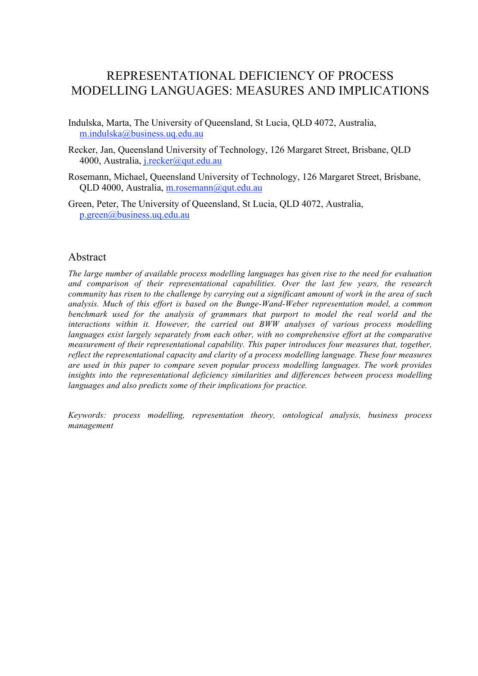# REPRESENTATIONAL DEFICIENCY OF PROCESS MODELLING LANGUAGES: MEASURES AND IMPLICATIONS

Indulska, Marta, The University of Queensland, St Lucia, QLD 4072, Australia, m.indulska@business.uq.edu.au

- Recker, Jan, Queensland University of Technology, 126 Margaret Street, Brisbane, QLD 4000, Australia, j.recker@qut.edu.au
- Rosemann, Michael, Queensland University of Technology, 126 Margaret Street, Brisbane, QLD 4000, Australia, m.rosemann@qut.edu.au
- Green, Peter, The University of Queensland, St Lucia, QLD 4072, Australia, p.green@business.uq.edu.au

#### Abstract

*The large number of available process modelling languages has given rise to the need for evaluation and comparison of their representational capabilities. Over the last few years, the research community has risen to the challenge by carrying out a significant amount of work in the area of such analysis. Much of this effort is based on the Bunge-Wand-Weber representation model, a common benchmark used for the analysis of grammars that purport to model the real world and the interactions within it. However, the carried out BWW analyses of various process modelling languages exist largely separately from each other, with no comprehensive effort at the comparative measurement of their representational capability. This paper introduces four measures that, together, reflect the representational capacity and clarity of a process modelling language. These four measures are used in this paper to compare seven popular process modelling languages. The work provides insights into the representational deficiency similarities and differences between process modelling languages and also predicts some of their implications for practice.*

*Keywords: process modelling, representation theory, ontological analysis, business process management*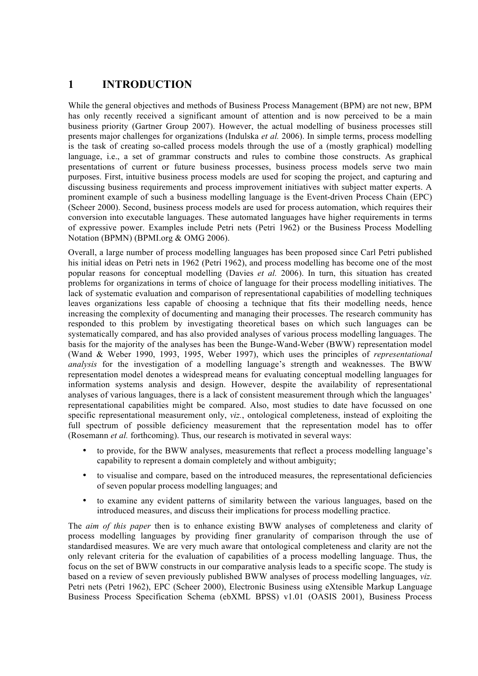# **1 INTRODUCTION**

While the general objectives and methods of Business Process Management (BPM) are not new, BPM has only recently received a significant amount of attention and is now perceived to be a main business priority (Gartner Group 2007). However, the actual modelling of business processes still presents major challenges for organizations (Indulska *et al.* 2006). In simple terms, process modelling is the task of creating so-called process models through the use of a (mostly graphical) modelling language, i.e., a set of grammar constructs and rules to combine those constructs. As graphical presentations of current or future business processes, business process models serve two main purposes. First, intuitive business process models are used for scoping the project, and capturing and discussing business requirements and process improvement initiatives with subject matter experts. A prominent example of such a business modelling language is the Event-driven Process Chain (EPC) (Scheer 2000). Second, business process models are used for process automation, which requires their conversion into executable languages. These automated languages have higher requirements in terms of expressive power. Examples include Petri nets (Petri 1962) or the Business Process Modelling Notation (BPMN) (BPMI.org & OMG 2006).

Overall, a large number of process modelling languages has been proposed since Carl Petri published his initial ideas on Petri nets in 1962 (Petri 1962), and process modelling has become one of the most popular reasons for conceptual modelling (Davies *et al.* 2006). In turn, this situation has created problems for organizations in terms of choice of language for their process modelling initiatives. The lack of systematic evaluation and comparison of representational capabilities of modelling techniques leaves organizations less capable of choosing a technique that fits their modelling needs, hence increasing the complexity of documenting and managing their processes. The research community has responded to this problem by investigating theoretical bases on which such languages can be systematically compared, and has also provided analyses of various process modelling languages. The basis for the majority of the analyses has been the Bunge-Wand-Weber (BWW) representation model (Wand & Weber 1990, 1993, 1995, Weber 1997), which uses the principles of *representational analysis* for the investigation of a modelling language's strength and weaknesses. The BWW representation model denotes a widespread means for evaluating conceptual modelling languages for information systems analysis and design. However, despite the availability of representational analyses of various languages, there is a lack of consistent measurement through which the languages' representational capabilities might be compared. Also, most studies to date have focussed on one specific representational measurement only, *viz.*, ontological completeness, instead of exploiting the full spectrum of possible deficiency measurement that the representation model has to offer (Rosemann *et al.* forthcoming). Thus, our research is motivated in several ways:

- to provide, for the BWW analyses, measurements that reflect a process modelling language's capability to represent a domain completely and without ambiguity;
- to visualise and compare, based on the introduced measures, the representational deficiencies of seven popular process modelling languages; and
- to examine any evident patterns of similarity between the various languages, based on the introduced measures, and discuss their implications for process modelling practice.

The *aim of this paper* then is to enhance existing BWW analyses of completeness and clarity of process modelling languages by providing finer granularity of comparison through the use of standardised measures. We are very much aware that ontological completeness and clarity are not the only relevant criteria for the evaluation of capabilities of a process modelling language. Thus, the focus on the set of BWW constructs in our comparative analysis leads to a specific scope. The study is based on a review of seven previously published BWW analyses of process modelling languages, *viz.*  Petri nets (Petri 1962), EPC (Scheer 2000), Electronic Business using eXtensible Markup Language Business Process Specification Schema (ebXML BPSS) v1.01 (OASIS 2001), Business Process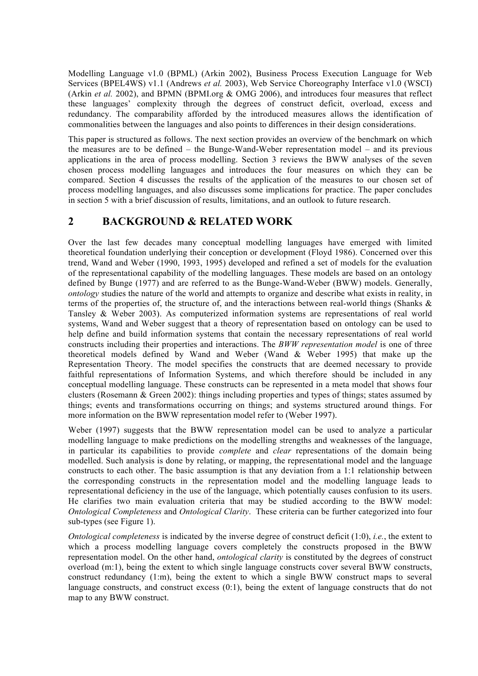Modelling Language v1.0 (BPML) (Arkin 2002), Business Process Execution Language for Web Services (BPEL4WS) v1.1 (Andrews *et al.* 2003), Web Service Choreography Interface v1.0 (WSCI) (Arkin *et al.* 2002), and BPMN (BPMI.org & OMG 2006), and introduces four measures that reflect these languages' complexity through the degrees of construct deficit, overload, excess and redundancy. The comparability afforded by the introduced measures allows the identification of commonalities between the languages and also points to differences in their design considerations.

This paper is structured as follows. The next section provides an overview of the benchmark on which the measures are to be defined – the Bunge-Wand-Weber representation model – and its previous applications in the area of process modelling. Section 3 reviews the BWW analyses of the seven chosen process modelling languages and introduces the four measures on which they can be compared. Section 4 discusses the results of the application of the measures to our chosen set of process modelling languages, and also discusses some implications for practice. The paper concludes in section 5 with a brief discussion of results, limitations, and an outlook to future research.

# **2 BACKGROUND & RELATED WORK**

Over the last few decades many conceptual modelling languages have emerged with limited theoretical foundation underlying their conception or development (Floyd 1986). Concerned over this trend, Wand and Weber (1990, 1993, 1995) developed and refined a set of models for the evaluation of the representational capability of the modelling languages. These models are based on an ontology defined by Bunge (1977) and are referred to as the Bunge-Wand-Weber (BWW) models. Generally, *ontology* studies the nature of the world and attempts to organize and describe what exists in reality, in terms of the properties of, the structure of, and the interactions between real-world things (Shanks & Tansley & Weber 2003). As computerized information systems are representations of real world systems, Wand and Weber suggest that a theory of representation based on ontology can be used to help define and build information systems that contain the necessary representations of real world constructs including their properties and interactions. The *BWW representation model* is one of three theoretical models defined by Wand and Weber (Wand & Weber 1995) that make up the Representation Theory. The model specifies the constructs that are deemed necessary to provide faithful representations of Information Systems, and which therefore should be included in any conceptual modelling language. These constructs can be represented in a meta model that shows four clusters (Rosemann & Green 2002): things including properties and types of things; states assumed by things; events and transformations occurring on things; and systems structured around things. For more information on the BWW representation model refer to (Weber 1997).

Weber (1997) suggests that the BWW representation model can be used to analyze a particular modelling language to make predictions on the modelling strengths and weaknesses of the language, in particular its capabilities to provide *complete* and *clear* representations of the domain being modelled. Such analysis is done by relating, or mapping, the representational model and the language constructs to each other. The basic assumption is that any deviation from a 1:1 relationship between the corresponding constructs in the representation model and the modelling language leads to representational deficiency in the use of the language, which potentially causes confusion to its users. He clarifies two main evaluation criteria that may be studied according to the BWW model: *Ontological Completeness* and *Ontological Clarity*. These criteria can be further categorized into four sub-types (see Figure 1).

*Ontological completeness* is indicated by the inverse degree of construct deficit (1:0), *i.e.*, the extent to which a process modelling language covers completely the constructs proposed in the BWW representation model. On the other hand, *ontological clarity* is constituted by the degrees of construct overload (m:1), being the extent to which single language constructs cover several BWW constructs, construct redundancy (1:m), being the extent to which a single BWW construct maps to several language constructs, and construct excess (0:1), being the extent of language constructs that do not map to any BWW construct.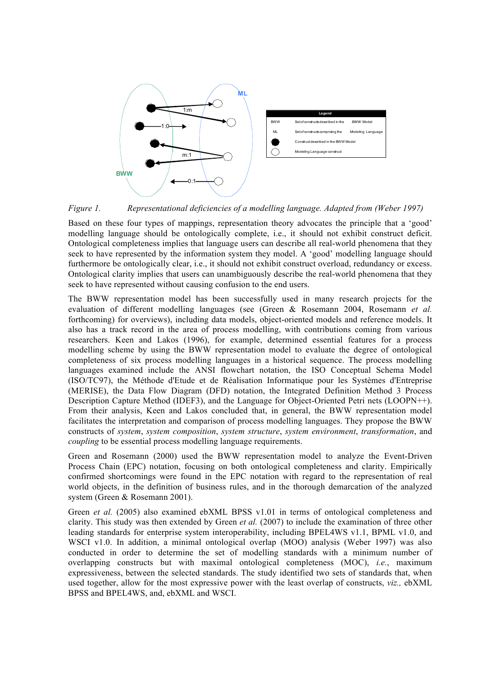

*Figure 1. Representational deficiencies of a modelling language. Adapted from (Weber 1997)*

Based on these four types of mappings, representation theory advocates the principle that a 'good' modelling language should be ontologically complete, i.e., it should not exhibit construct deficit. Ontological completeness implies that language users can describe all real-world phenomena that they seek to have represented by the information system they model. A 'good' modelling language should furthermore be ontologically clear, i.e., it should not exhibit construct overload, redundancy or excess. Ontological clarity implies that users can unambiguously describe the real-world phenomena that they seek to have represented without causing confusion to the end users.

The BWW representation model has been successfully used in many research projects for the evaluation of different modelling languages (see (Green & Rosemann 2004, Rosemann *et al.* forthcoming) for overviews), including data models, object-oriented models and reference models. It also has a track record in the area of process modelling, with contributions coming from various researchers. Keen and Lakos (1996), for example, determined essential features for a process modelling scheme by using the BWW representation model to evaluate the degree of ontological completeness of six process modelling languages in a historical sequence. The process modelling languages examined include the ANSI flowchart notation, the ISO Conceptual Schema Model (ISO/TC97), the Méthode d'Etude et de Réalisation Informatique pour les Systèmes d'Entreprise (MERISE), the Data Flow Diagram (DFD) notation, the Integrated Definition Method 3 Process Description Capture Method (IDEF3), and the Language for Object-Oriented Petri nets (LOOPN++). From their analysis, Keen and Lakos concluded that, in general, the BWW representation model facilitates the interpretation and comparison of process modelling languages. They propose the BWW constructs of *system*, *system composition*, *system structure*, *system environment*, *transformation*, and *coupling* to be essential process modelling language requirements.

Green and Rosemann (2000) used the BWW representation model to analyze the Event-Driven Process Chain (EPC) notation, focusing on both ontological completeness and clarity. Empirically confirmed shortcomings were found in the EPC notation with regard to the representation of real world objects, in the definition of business rules, and in the thorough demarcation of the analyzed system (Green & Rosemann 2001).

Green *et al.* (2005) also examined ebXML BPSS v1.01 in terms of ontological completeness and clarity. This study was then extended by Green *et al.* (2007) to include the examination of three other leading standards for enterprise system interoperability, including BPEL4WS v1.1, BPML v1.0, and WSCI v1.0. In addition, a minimal ontological overlap (MOO) analysis (Weber 1997) was also conducted in order to determine the set of modelling standards with a minimum number of overlapping constructs but with maximal ontological completeness (MOC), *i.e.*, maximum expressiveness, between the selected standards. The study identified two sets of standards that, when used together, allow for the most expressive power with the least overlap of constructs, *viz.,* ebXML BPSS and BPEL4WS, and, ebXML and WSCI.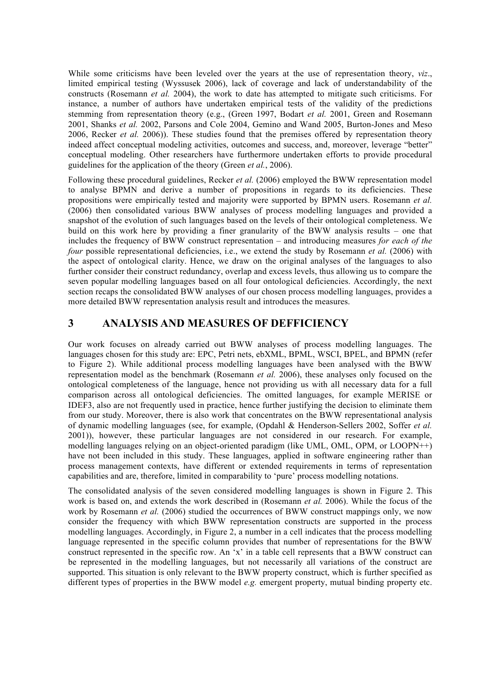While some criticisms have been leveled over the years at the use of representation theory, *viz*., limited empirical testing (Wyssusek 2006), lack of coverage and lack of understandability of the constructs (Rosemann *et al.* 2004), the work to date has attempted to mitigate such criticisms. For instance, a number of authors have undertaken empirical tests of the validity of the predictions stemming from representation theory (e.g., (Green 1997, Bodart *et al.* 2001, Green and Rosemann 2001, Shanks *et al.* 2002, Parsons and Cole 2004, Gemino and Wand 2005, Burton-Jones and Meso 2006, Recker *et al.* 2006)). These studies found that the premises offered by representation theory indeed affect conceptual modeling activities, outcomes and success, and, moreover, leverage "better" conceptual modeling. Other researchers have furthermore undertaken efforts to provide procedural guidelines for the application of the theory (Green *et al.*, 2006).

Following these procedural guidelines, Recker *et al.* (2006) employed the BWW representation model to analyse BPMN and derive a number of propositions in regards to its deficiencies. These propositions were empirically tested and majority were supported by BPMN users. Rosemann *et al.* (2006) then consolidated various BWW analyses of process modelling languages and provided a snapshot of the evolution of such languages based on the levels of their ontological completeness. We build on this work here by providing a finer granularity of the BWW analysis results – one that includes the frequency of BWW construct representation – and introducing measures *for each of the four* possible representational deficiencies, i.e., we extend the study by Rosemann *et al.* (2006) with the aspect of ontological clarity. Hence, we draw on the original analyses of the languages to also further consider their construct redundancy, overlap and excess levels, thus allowing us to compare the seven popular modelling languages based on all four ontological deficiencies. Accordingly, the next section recaps the consolidated BWW analyses of our chosen process modelling languages, provides a more detailed BWW representation analysis result and introduces the measures.

#### **3 ANALYSIS AND MEASURES OF DEFFICIENCY**

Our work focuses on already carried out BWW analyses of process modelling languages. The languages chosen for this study are: EPC, Petri nets, ebXML, BPML, WSCI, BPEL, and BPMN (refer to Figure 2). While additional process modelling languages have been analysed with the BWW representation model as the benchmark (Rosemann *et al.* 2006), these analyses only focused on the ontological completeness of the language, hence not providing us with all necessary data for a full comparison across all ontological deficiencies. The omitted languages, for example MERISE or IDEF3, also are not frequently used in practice, hence further justifying the decision to eliminate them from our study. Moreover, there is also work that concentrates on the BWW representational analysis of dynamic modelling languages (see, for example, (Opdahl & Henderson-Sellers 2002, Soffer *et al.* 2001)), however, these particular languages are not considered in our research. For example, modelling languages relying on an object-oriented paradigm (like UML, OML, OPM, or LOOPN++) have not been included in this study. These languages, applied in software engineering rather than process management contexts, have different or extended requirements in terms of representation capabilities and are, therefore, limited in comparability to 'pure' process modelling notations.

The consolidated analysis of the seven considered modelling languages is shown in Figure 2. This work is based on, and extends the work described in (Rosemann *et al.* 2006). While the focus of the work by Rosemann *et al.* (2006) studied the occurrences of BWW construct mappings only, we now consider the frequency with which BWW representation constructs are supported in the process modelling languages. Accordingly, in Figure 2, a number in a cell indicates that the process modelling language represented in the specific column provides that number of representations for the BWW construct represented in the specific row. An 'x' in a table cell represents that a BWW construct can be represented in the modelling languages, but not necessarily all variations of the construct are supported. This situation is only relevant to the BWW property construct, which is further specified as different types of properties in the BWW model *e.g.* emergent property, mutual binding property etc.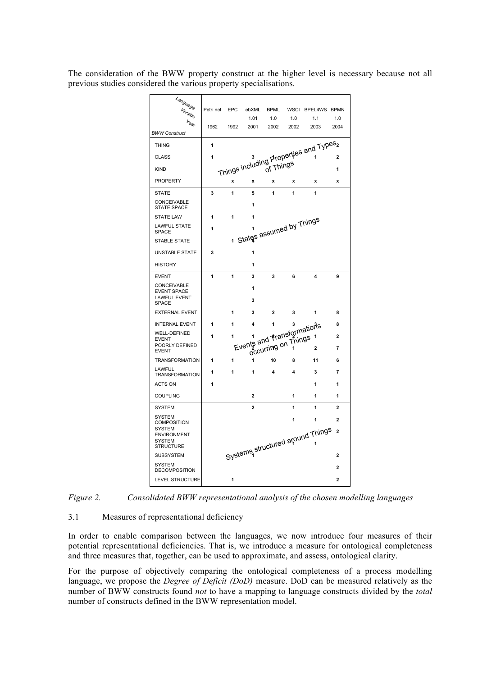The consideration of the BWW property construct at the higher level is necessary because not all previous studies considered the various property specialisations.

| Language<br>Version                                       | Petri net | EPC  | ebXML                      | <b>BPML</b>         | <b>WSCI</b> | BPEL4WS BPMN                                       |                |
|-----------------------------------------------------------|-----------|------|----------------------------|---------------------|-------------|----------------------------------------------------|----------------|
| Year                                                      |           |      | 1.01                       | 1.0                 | 1.0         | 1.1                                                | 1.0            |
| <b>BWW Construct</b>                                      | 1962      | 1992 | 2001                       | 2002                | 2002        | 2003                                               | 2004           |
| <b>THING</b>                                              | 1         |      |                            |                     |             | Things including Properties and Types <sub>2</sub> |                |
| <b>CLASS</b>                                              | 1         |      |                            |                     |             |                                                    |                |
| <b>KIND</b>                                               |           |      |                            |                     |             |                                                    |                |
| <b>PROPERTY</b>                                           |           | X    | x                          | x                   | x           | x                                                  | x              |
| <b>STATE</b>                                              | 3         | 1    | 5                          | 1                   | 1           | 1                                                  |                |
| CONCEIVABLE                                               |           |      |                            |                     |             |                                                    |                |
| <b>STATE SPACE</b>                                        |           |      | 1                          |                     |             |                                                    |                |
| <b>STATE LAW</b>                                          | 1         | 1    |                            |                     |             |                                                    |                |
| <b>LAWFUL STATE</b><br><b>SPACE</b>                       | 1         |      |                            |                     |             |                                                    |                |
| <b>STABLE STATE</b>                                       |           |      | 1 States assumed by Things |                     |             |                                                    |                |
| <b>UNSTABLE STATE</b>                                     | 3         |      | 1                          |                     |             |                                                    |                |
| <b>HISTORY</b>                                            |           |      | 1                          |                     |             |                                                    |                |
| <b>EVENT</b>                                              | 1         | 1    | 3                          | 3                   | 6           | 4                                                  | 9              |
| <b>CONCEIVABLE</b>                                        |           |      | 1                          |                     |             |                                                    |                |
| <b>EVENT SPACE</b><br><b>LAWFUL EVENT</b><br><b>SPACE</b> |           |      | 3                          |                     |             |                                                    |                |
| <b>EXTERNAL EVENT</b>                                     |           | 1    | 3                          | $\overline{2}$      | 3           | 1                                                  | 8              |
| <b>INTERNAL EVENT</b>                                     | 1         | 1    | Events and fransformations |                     |             |                                                    | 8              |
| <b>WELL-DEFINED</b><br><b>EVENT</b>                       | 1         | 1    |                            |                     |             |                                                    | $\overline{2}$ |
| POORLY DEFINED                                            |           |      |                            | occurring on Things |             |                                                    | $\overline{7}$ |
| <b>EVENT</b><br><b>TRANSFORMATION</b>                     | 1         | 1    | 1                          | 10                  | 8           | 11                                                 | 6              |
| LAWFUL                                                    |           |      |                            |                     |             |                                                    |                |
| <b>TRANSFORMATION</b>                                     | 1         | 1    | 1                          | 4                   | 4           | 3                                                  | 7              |
| <b>ACTS ON</b>                                            | 1         |      |                            |                     |             | 1                                                  | 1              |
| <b>COUPLING</b>                                           |           |      | 2                          |                     | 1           | 1                                                  | 1              |
| <b>SYSTEM</b>                                             |           |      | $\overline{2}$             |                     | 1           | 1                                                  | $\overline{2}$ |
| <b>SYSTEM</b><br><b>COMPOSITION</b>                       |           |      |                            |                     | 1           | 1                                                  | $\overline{2}$ |
| <b>SYSTEM</b><br><b>ENVIRONMENT</b>                       |           |      |                            |                     |             |                                                    | $\overline{2}$ |
| <b>SYSTEM</b>                                             |           |      |                            |                     |             | Systems structured around Things                   |                |
| STRUCTURE<br><b>SUBSYSTEM</b>                             |           |      |                            |                     |             |                                                    | $\overline{2}$ |
| SYSTEM                                                    |           |      |                            |                     |             |                                                    |                |
| <b>DECOMPOSITION</b>                                      |           |      |                            |                     |             |                                                    | $\overline{2}$ |
| <b>LEVEL STRUCTURE</b>                                    |           | 1    |                            |                     |             |                                                    | $\overline{2}$ |

*Figure 2. Consolidated BWW representational analysis of the chosen modelling languages*

#### 3.1 Measures of representational deficiency

In order to enable comparison between the languages, we now introduce four measures of their potential representational deficiencies. That is, we introduce a measure for ontological completeness and three measures that, together, can be used to approximate, and assess, ontological clarity.

For the purpose of objectively comparing the ontological completeness of a process modelling language, we propose the *Degree of Deficit (DoD)* measure. DoD can be measured relatively as the number of BWW constructs found *not* to have a mapping to language constructs divided by the *total* number of constructs defined in the BWW representation model.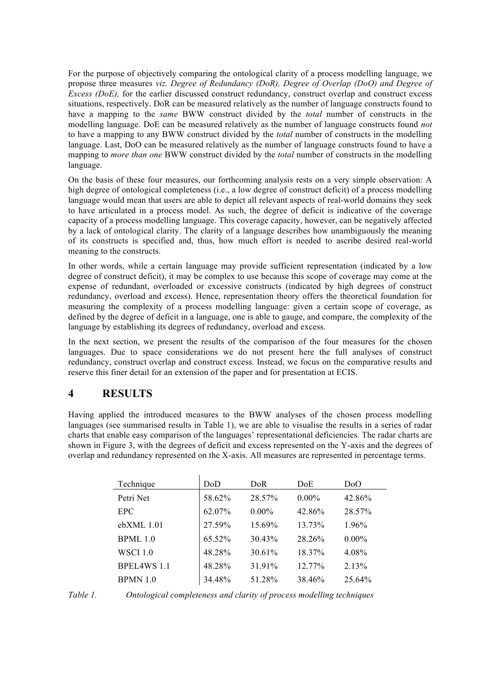For the purpose of objectively comparing the ontological clarity of a process modelling language, we propose three measures *viz. Degree of Redundancy (DoR), Degree of Overlap (DoO) and Degree of Excess (DoE)*, for the earlier discussed construct redundancy, construct overlap and construct excess situations, respectively. DoR can be measured relatively as the number of language constructs found to have a mapping to the *same* BWW construct divided by the *total* number of constructs in the modelling language. DoE can be measured relatively as the number of language constructs found *not* to have a mapping to any BWW construct divided by the *total* number of constructs in the modelling language. Last, DoO can be measured relatively as the number of language constructs found to have a mapping to *more than one* BWW construct divided by the *total* number of constructs in the modelling language.

On the basis of these four measures, our forthcoming analysis rests on a very simple observation: A high degree of ontological completeness (i.e., a low degree of construct deficit) of a process modelling language would mean that users are able to depict all relevant aspects of real-world domains they seek to have articulated in a process model. As such, the degree of deficit is indicative of the coverage capacity of a process modelling language. This coverage capacity, however, can be negatively affected by a lack of ontological clarity. The clarity of a language describes how unambiguously the meaning of its constructs is specified and, thus, how much effort is needed to ascribe desired real-world meaning to the constructs.

In other words, while a certain language may provide sufficient representation (indicated by a low degree of construct deficit), it may be complex to use because this scope of coverage may come at the expense of redundant, overloaded or excessive constructs (indicated by high degrees of construct redundancy, overload and excess). Hence, representation theory offers the theoretical foundation for measuring the complexity of a process modelling language: given a certain scope of coverage, as defined by the degree of deficit in a language, one is able to gauge, and compare, the complexity of the language by establishing its degrees of redundancy, overload and excess.

In the next section, we present the results of the comparison of the four measures for the chosen languages. Due to space considerations we do not present here the full analyses of construct redundancy, construct overlap and construct excess. Instead, we focus on the comparative results and reserve this finer detail for an extension of the paper and for presentation at ECIS.

# **4 RESULTS**

Having applied the introduced measures to the BWW analyses of the chosen process modelling languages (see summarised results in Table 1), we are able to visualise the results in a series of radar charts that enable easy comparison of the languages' representational deficiencies. The radar charts are shown in Figure 3, with the degrees of deficit and excess represented on the Y-axis and the degrees of overlap and redundancy represented on the X-axis. All measures are represented in percentage terms.

| Technique          | DoD    | DoR.     | DoE.      | D <sub>0</sub> O |
|--------------------|--------|----------|-----------|------------------|
| Petri Net          | 58.62% | 28.57%   | $0.00\%$  | 42.86%           |
| <b>EPC</b>         | 62.07% | $0.00\%$ | 42.86%    | 28.57%           |
| ebXML 1.01         | 27.59% | 15.69%   | 13.73%    | $1.96\%$         |
| BPML10             | 65.52% | 30.43%   | 28 26%    | $0.00\%$         |
| WSCI 1.0           | 48.28% | 30.61%   | 18.37%    | 4.08%            |
| <b>BPEL4WS 1.1</b> | 48.28% | 31.91%   | $12.77\%$ | 2.13%            |
| BPMN 1.0           | 34.48% | 51.28%   | 38.46%    | 25.64%           |

*Table 1. Ontological completeness and clarity of process modelling techniques*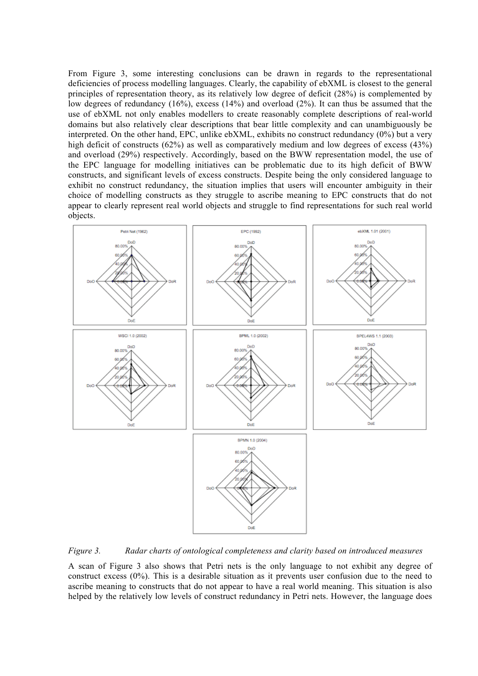From Figure 3, some interesting conclusions can be drawn in regards to the representational deficiencies of process modelling languages. Clearly, the capability of ebXML is closest to the general principles of representation theory, as its relatively low degree of deficit (28%) is complemented by low degrees of redundancy (16%), excess (14%) and overload (2%). It can thus be assumed that the use of ebXML not only enables modellers to create reasonably complete descriptions of real-world domains but also relatively clear descriptions that bear little complexity and can unambiguously be interpreted. On the other hand, EPC, unlike ebXML, exhibits no construct redundancy (0%) but a very high deficit of constructs (62%) as well as comparatively medium and low degrees of excess (43%) and overload (29%) respectively. Accordingly, based on the BWW representation model, the use of the EPC language for modelling initiatives can be problematic due to its high deficit of BWW constructs, and significant levels of excess constructs. Despite being the only considered language to exhibit no construct redundancy, the situation implies that users will encounter ambiguity in their choice of modelling constructs as they struggle to ascribe meaning to EPC constructs that do not appear to clearly represent real world objects and struggle to find representations for such real world objects.



*Figure 3. Radar charts of ontological completeness and clarity based on introduced measures*

A scan of Figure 3 also shows that Petri nets is the only language to not exhibit any degree of construct excess (0%). This is a desirable situation as it prevents user confusion due to the need to ascribe meaning to constructs that do not appear to have a real world meaning. This situation is also helped by the relatively low levels of construct redundancy in Petri nets. However, the language does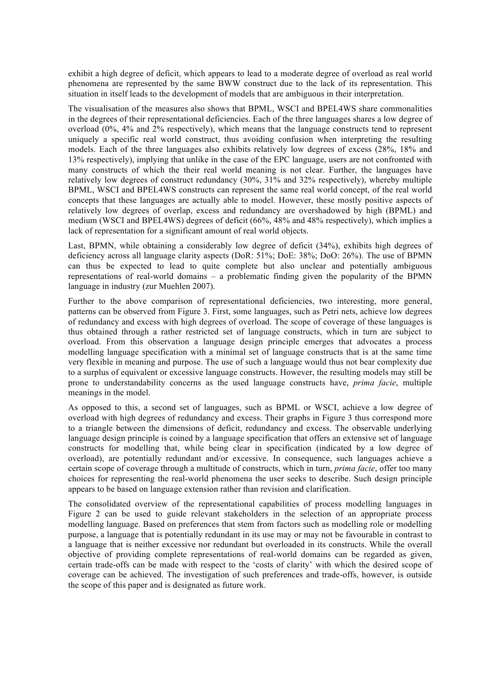exhibit a high degree of deficit, which appears to lead to a moderate degree of overload as real world phenomena are represented by the same BWW construct due to the lack of its representation. This situation in itself leads to the development of models that are ambiguous in their interpretation.

The visualisation of the measures also shows that BPML, WSCI and BPEL4WS share commonalities in the degrees of their representational deficiencies. Each of the three languages shares a low degree of overload (0%, 4% and 2% respectively), which means that the language constructs tend to represent uniquely a specific real world construct, thus avoiding confusion when interpreting the resulting models. Each of the three languages also exhibits relatively low degrees of excess (28%, 18% and 13% respectively), implying that unlike in the case of the EPC language, users are not confronted with many constructs of which the their real world meaning is not clear. Further, the languages have relatively low degrees of construct redundancy (30%, 31% and 32% respectively), whereby multiple BPML, WSCI and BPEL4WS constructs can represent the same real world concept, of the real world concepts that these languages are actually able to model. However, these mostly positive aspects of relatively low degrees of overlap, excess and redundancy are overshadowed by high (BPML) and medium (WSCI and BPEL4WS) degrees of deficit (66%, 48% and 48% respectively), which implies a lack of representation for a significant amount of real world objects.

Last, BPMN, while obtaining a considerably low degree of deficit (34%), exhibits high degrees of deficiency across all language clarity aspects (DoR: 51%; DoE: 38%; DoO: 26%). The use of BPMN can thus be expected to lead to quite complete but also unclear and potentially ambiguous representations of real-world domains – a problematic finding given the popularity of the BPMN language in industry (zur Muehlen 2007).

Further to the above comparison of representational deficiencies, two interesting, more general, patterns can be observed from Figure 3. First, some languages, such as Petri nets, achieve low degrees of redundancy and excess with high degrees of overload. The scope of coverage of these languages is thus obtained through a rather restricted set of language constructs, which in turn are subject to overload. From this observation a language design principle emerges that advocates a process modelling language specification with a minimal set of language constructs that is at the same time very flexible in meaning and purpose. The use of such a language would thus not bear complexity due to a surplus of equivalent or excessive language constructs. However, the resulting models may still be prone to understandability concerns as the used language constructs have, *prima facie*, multiple meanings in the model.

As opposed to this, a second set of languages, such as BPML or WSCI, achieve a low degree of overload with high degrees of redundancy and excess. Their graphs in Figure 3 thus correspond more to a triangle between the dimensions of deficit, redundancy and excess. The observable underlying language design principle is coined by a language specification that offers an extensive set of language constructs for modelling that, while being clear in specification (indicated by a low degree of overload), are potentially redundant and/or excessive. In consequence, such languages achieve a certain scope of coverage through a multitude of constructs, which in turn, *prima facie*, offer too many choices for representing the real-world phenomena the user seeks to describe. Such design principle appears to be based on language extension rather than revision and clarification.

The consolidated overview of the representational capabilities of process modelling languages in Figure 2 can be used to guide relevant stakeholders in the selection of an appropriate process modelling language. Based on preferences that stem from factors such as modelling role or modelling purpose, a language that is potentially redundant in its use may or may not be favourable in contrast to a language that is neither excessive nor redundant but overloaded in its constructs. While the overall objective of providing complete representations of real-world domains can be regarded as given, certain trade-offs can be made with respect to the 'costs of clarity' with which the desired scope of coverage can be achieved. The investigation of such preferences and trade-offs, however, is outside the scope of this paper and is designated as future work.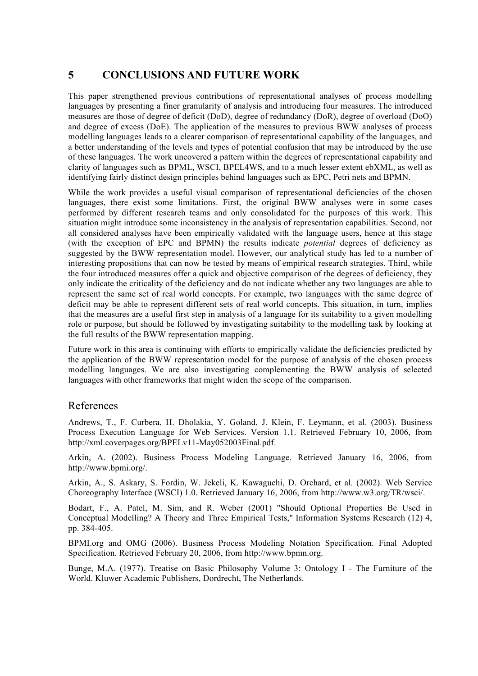# **5 CONCLUSIONS AND FUTURE WORK**

This paper strengthened previous contributions of representational analyses of process modelling languages by presenting a finer granularity of analysis and introducing four measures. The introduced measures are those of degree of deficit (DoD), degree of redundancy (DoR), degree of overload (DoO) and degree of excess (DoE). The application of the measures to previous BWW analyses of process modelling languages leads to a clearer comparison of representational capability of the languages, and a better understanding of the levels and types of potential confusion that may be introduced by the use of these languages. The work uncovered a pattern within the degrees of representational capability and clarity of languages such as BPML, WSCI, BPEL4WS, and to a much lesser extent ebXML, as well as identifying fairly distinct design principles behind languages such as EPC, Petri nets and BPMN.

While the work provides a useful visual comparison of representational deficiencies of the chosen languages, there exist some limitations. First, the original BWW analyses were in some cases performed by different research teams and only consolidated for the purposes of this work. This situation might introduce some inconsistency in the analysis of representation capabilities. Second, not all considered analyses have been empirically validated with the language users, hence at this stage (with the exception of EPC and BPMN) the results indicate *potential* degrees of deficiency as suggested by the BWW representation model. However, our analytical study has led to a number of interesting propositions that can now be tested by means of empirical research strategies. Third, while the four introduced measures offer a quick and objective comparison of the degrees of deficiency, they only indicate the criticality of the deficiency and do not indicate whether any two languages are able to represent the same set of real world concepts. For example, two languages with the same degree of deficit may be able to represent different sets of real world concepts. This situation, in turn, implies that the measures are a useful first step in analysis of a language for its suitability to a given modelling role or purpose, but should be followed by investigating suitability to the modelling task by looking at the full results of the BWW representation mapping.

Future work in this area is continuing with efforts to empirically validate the deficiencies predicted by the application of the BWW representation model for the purpose of analysis of the chosen process modelling languages. We are also investigating complementing the BWW analysis of selected languages with other frameworks that might widen the scope of the comparison.

#### References

Andrews, T., F. Curbera, H. Dholakia, Y. Goland, J. Klein, F. Leymann, et al. (2003). Business Process Execution Language for Web Services. Version 1.1. Retrieved February 10, 2006, from http://xml.coverpages.org/BPELv11-May052003Final.pdf.

Arkin, A. (2002). Business Process Modeling Language. Retrieved January 16, 2006, from http://www.bpmi.org/.

Arkin, A., S. Askary, S. Fordin, W. Jekeli, K. Kawaguchi, D. Orchard, et al. (2002). Web Service Choreography Interface (WSCI) 1.0. Retrieved January 16, 2006, from http://www.w3.org/TR/wsci/.

Bodart, F., A. Patel, M. Sim, and R. Weber (2001) "Should Optional Properties Be Used in Conceptual Modelling? A Theory and Three Empirical Tests," Information Systems Research (12) 4, pp. 384-405.

BPMI.org and OMG (2006). Business Process Modeling Notation Specification. Final Adopted Specification. Retrieved February 20, 2006, from http://www.bpmn.org.

Bunge, M.A. (1977). Treatise on Basic Philosophy Volume 3: Ontology I - The Furniture of the World. Kluwer Academic Publishers, Dordrecht, The Netherlands.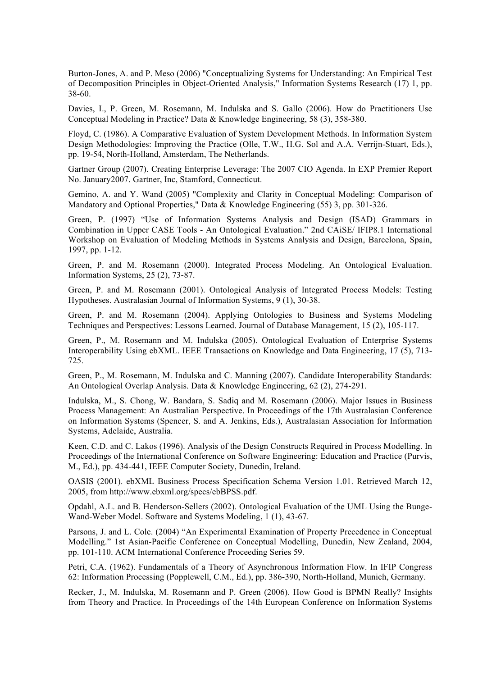Burton-Jones, A. and P. Meso (2006) "Conceptualizing Systems for Understanding: An Empirical Test of Decomposition Principles in Object-Oriented Analysis," Information Systems Research (17) 1, pp. 38-60.

Davies, I., P. Green, M. Rosemann, M. Indulska and S. Gallo (2006). How do Practitioners Use Conceptual Modeling in Practice? Data & Knowledge Engineering, 58 (3), 358-380.

Floyd, C. (1986). A Comparative Evaluation of System Development Methods. In Information System Design Methodologies: Improving the Practice (Olle, T.W., H.G. Sol and A.A. Verrijn-Stuart, Eds.), pp. 19-54, North-Holland, Amsterdam, The Netherlands.

Gartner Group (2007). Creating Enterprise Leverage: The 2007 CIO Agenda. In EXP Premier Report No. January2007. Gartner, Inc, Stamford, Connecticut.

Gemino, A. and Y. Wand (2005) "Complexity and Clarity in Conceptual Modeling: Comparison of Mandatory and Optional Properties," Data & Knowledge Engineering (55) 3, pp. 301-326.

Green, P. (1997) "Use of Information Systems Analysis and Design (ISAD) Grammars in Combination in Upper CASE Tools - An Ontological Evaluation." 2nd CAiSE/ IFIP8.1 International Workshop on Evaluation of Modeling Methods in Systems Analysis and Design, Barcelona, Spain, 1997, pp. 1-12.

Green, P. and M. Rosemann (2000). Integrated Process Modeling. An Ontological Evaluation. Information Systems, 25 (2), 73-87.

Green, P. and M. Rosemann (2001). Ontological Analysis of Integrated Process Models: Testing Hypotheses. Australasian Journal of Information Systems, 9 (1), 30-38.

Green, P. and M. Rosemann (2004). Applying Ontologies to Business and Systems Modeling Techniques and Perspectives: Lessons Learned. Journal of Database Management, 15 (2), 105-117.

Green, P., M. Rosemann and M. Indulska (2005). Ontological Evaluation of Enterprise Systems Interoperability Using ebXML. IEEE Transactions on Knowledge and Data Engineering, 17 (5), 713- 725.

Green, P., M. Rosemann, M. Indulska and C. Manning (2007). Candidate Interoperability Standards: An Ontological Overlap Analysis. Data & Knowledge Engineering, 62 (2), 274-291.

Indulska, M., S. Chong, W. Bandara, S. Sadiq and M. Rosemann (2006). Major Issues in Business Process Management: An Australian Perspective. In Proceedings of the 17th Australasian Conference on Information Systems (Spencer, S. and A. Jenkins, Eds.), Australasian Association for Information Systems, Adelaide, Australia.

Keen, C.D. and C. Lakos (1996). Analysis of the Design Constructs Required in Process Modelling. In Proceedings of the International Conference on Software Engineering: Education and Practice (Purvis, M., Ed.), pp. 434-441, IEEE Computer Society, Dunedin, Ireland.

OASIS (2001). ebXML Business Process Specification Schema Version 1.01. Retrieved March 12, 2005, from http://www.ebxml.org/specs/ebBPSS.pdf.

Opdahl, A.L. and B. Henderson-Sellers (2002). Ontological Evaluation of the UML Using the Bunge-Wand-Weber Model. Software and Systems Modeling, 1 (1), 43-67.

Parsons, J. and L. Cole. (2004) "An Experimental Examination of Property Precedence in Conceptual Modelling." 1st Asian-Pacific Conference on Conceptual Modelling, Dunedin, New Zealand, 2004, pp. 101-110. ACM International Conference Proceeding Series 59.

Petri, C.A. (1962). Fundamentals of a Theory of Asynchronous Information Flow. In IFIP Congress 62: Information Processing (Popplewell, C.M., Ed.), pp. 386-390, North-Holland, Munich, Germany.

Recker, J., M. Indulska, M. Rosemann and P. Green (2006). How Good is BPMN Really? Insights from Theory and Practice. In Proceedings of the 14th European Conference on Information Systems